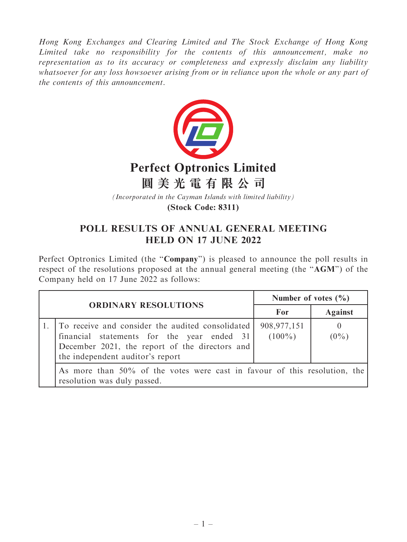Hong Kong Exchanges and Clearing Limited and The Stock Exchange of Hong Kong Limited take no responsibility for the contents of this announcement, make no representation as to its accuracy or completeness and expressly disclaim any liability whatsoever for any loss howsoever arising from or in reliance upon the whole or any part of the contents of this announcement.



## **Perfect Optronics Limited**

**圓美光電有限公司**

*(Incorporated in the Cayman Islands with limited liability)*

**(Stock Code: 8311)**

## POLL RESULTS OF ANNUAL GENERAL MEETING HELD ON 17 JUNE 2022

Perfect Optronics Limited (the "Company") is pleased to announce the poll results in respect of the resolutions proposed at the annual general meeting (the "AGM") of the Company held on 17 June 2022 as follows:

| <b>ORDINARY RESOLUTIONS</b> |                                                                                                                                                                                      | Number of votes $(\% )$    |                     |
|-----------------------------|--------------------------------------------------------------------------------------------------------------------------------------------------------------------------------------|----------------------------|---------------------|
|                             |                                                                                                                                                                                      | For                        | <b>Against</b>      |
|                             | To receive and consider the audited consolidated<br>financial statements for the year ended 31<br>December 2021, the report of the directors and<br>the independent auditor's report | 908, 977, 151<br>$(100\%)$ | $\theta$<br>$(0\%)$ |
|                             | As more than 50% of the votes were cast in favour of this resolution, the<br>resolution was duly passed.                                                                             |                            |                     |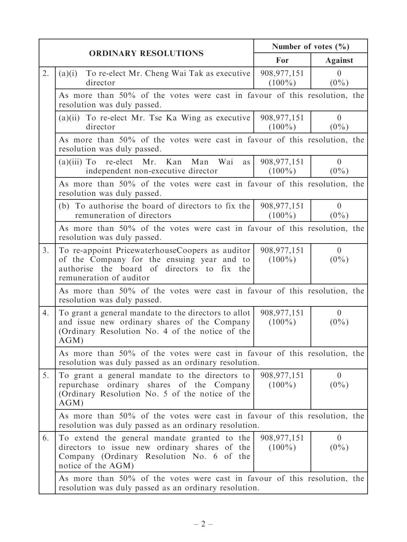| <b>ORDINARY RESOLUTIONS</b> | Number of votes $(\% )$                                                                                                                                                 |                            |                           |
|-----------------------------|-------------------------------------------------------------------------------------------------------------------------------------------------------------------------|----------------------------|---------------------------|
|                             | For                                                                                                                                                                     | <b>Against</b>             |                           |
| 2.                          | To re-elect Mr. Cheng Wai Tak as executive<br>(a)(i)<br>director                                                                                                        | 908, 977, 151<br>$(100\%)$ | $\overline{0}$<br>$(0\%)$ |
|                             | As more than 50% of the votes were cast in favour of this resolution, the<br>resolution was duly passed.                                                                |                            |                           |
|                             | $(a)(ii)$ To re-elect Mr. Tse Ka Wing as executive<br>director                                                                                                          | 908, 977, 151<br>$(100\%)$ | $\overline{0}$<br>$(0\%)$ |
|                             | As more than 50% of the votes were cast in favour of this resolution, the<br>resolution was duly passed.                                                                |                            |                           |
|                             | $(a)(iii)$ To re-elect Mr. Kan<br>Man<br>Wai<br>as<br>independent non-executive director                                                                                | 908, 977, 151<br>$(100\%)$ | $\overline{0}$<br>$(0\%)$ |
|                             | As more than 50% of the votes were cast in favour of this resolution, the<br>resolution was duly passed.                                                                |                            |                           |
|                             | (b) To authorise the board of directors to fix the<br>remuneration of directors                                                                                         | 908, 977, 151<br>$(100\%)$ | $\overline{0}$<br>$(0\%)$ |
|                             | As more than 50% of the votes were cast in favour of this resolution, the<br>resolution was duly passed.                                                                |                            |                           |
| 3.                          | To re-appoint PricewaterhouseCoopers as auditor<br>of the Company for the ensuing year and to<br>authorise the board of directors to fix the<br>remuneration of auditor | 908, 977, 151<br>$(100\%)$ | $\overline{0}$<br>$(0\%)$ |
|                             | As more than 50% of the votes were cast in favour of this resolution, the<br>resolution was duly passed.                                                                |                            |                           |
| 4.                          | To grant a general mandate to the directors to allot<br>and issue new ordinary shares of the Company<br>(Ordinary Resolution No. 4 of the notice of the<br>AGM)         | 908, 977, 151<br>$(100\%)$ | $\overline{0}$<br>$(0\%)$ |
|                             | As more than 50% of the votes were cast in favour of this resolution, the<br>resolution was duly passed as an ordinary resolution.                                      |                            |                           |
| 5.                          | To grant a general mandate to the directors to<br>repurchase<br>ordinary shares of the Company<br>(Ordinary Resolution No. 5 of the notice of the<br>AGM)               | 908, 977, 151<br>$(100\%)$ | $\overline{0}$<br>$(0\%)$ |
|                             | As more than 50% of the votes were cast in favour of this resolution, the<br>resolution was duly passed as an ordinary resolution.                                      |                            |                           |
| 6.                          | To extend the general mandate granted to the<br>directors to issue new ordinary shares of the<br>Company (Ordinary Resolution No. 6 of the<br>notice of the AGM)        | 908, 977, 151<br>$(100\%)$ | $\overline{0}$<br>$(0\%)$ |
|                             | As more than 50% of the votes were cast in favour of this resolution, the<br>resolution was duly passed as an ordinary resolution.                                      |                            |                           |